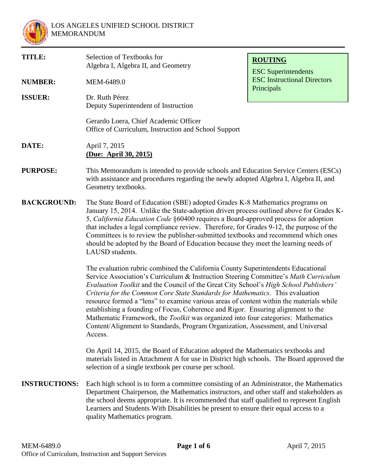

| <b>TITLE:</b>        | Selection of Textbooks for<br>Algebra I, Algebra II, and Geometry                                                                                                                                                                                                                                                                                                                                                                                                                                                                                                                                                                                                                                                          | <b>ROUTING</b><br><b>ESC</b> Superintendents                                                                                                                                                                                                                                                                                                                                                                                                                                                                                           |  |  |
|----------------------|----------------------------------------------------------------------------------------------------------------------------------------------------------------------------------------------------------------------------------------------------------------------------------------------------------------------------------------------------------------------------------------------------------------------------------------------------------------------------------------------------------------------------------------------------------------------------------------------------------------------------------------------------------------------------------------------------------------------------|----------------------------------------------------------------------------------------------------------------------------------------------------------------------------------------------------------------------------------------------------------------------------------------------------------------------------------------------------------------------------------------------------------------------------------------------------------------------------------------------------------------------------------------|--|--|
| <b>NUMBER:</b>       | MEM-6489.0                                                                                                                                                                                                                                                                                                                                                                                                                                                                                                                                                                                                                                                                                                                 | <b>ESC</b> Instructional Directors<br>Principals                                                                                                                                                                                                                                                                                                                                                                                                                                                                                       |  |  |
| <b>ISSUER:</b>       | Dr. Ruth Pérez<br>Deputy Superintendent of Instruction                                                                                                                                                                                                                                                                                                                                                                                                                                                                                                                                                                                                                                                                     |                                                                                                                                                                                                                                                                                                                                                                                                                                                                                                                                        |  |  |
|                      | Gerardo Loera, Chief Academic Officer<br>Office of Curriculum, Instruction and School Support                                                                                                                                                                                                                                                                                                                                                                                                                                                                                                                                                                                                                              |                                                                                                                                                                                                                                                                                                                                                                                                                                                                                                                                        |  |  |
| DATE:                | April 7, 2015<br><u>(Due: April 30, 2015)</u>                                                                                                                                                                                                                                                                                                                                                                                                                                                                                                                                                                                                                                                                              |                                                                                                                                                                                                                                                                                                                                                                                                                                                                                                                                        |  |  |
| <b>PURPOSE:</b>      | This Memorandum is intended to provide schools and Education Service Centers (ESCs)<br>with assistance and procedures regarding the newly adopted Algebra I, Algebra II, and<br>Geometry textbooks.                                                                                                                                                                                                                                                                                                                                                                                                                                                                                                                        |                                                                                                                                                                                                                                                                                                                                                                                                                                                                                                                                        |  |  |
| <b>BACKGROUND:</b>   | <b>LAUSD</b> students.                                                                                                                                                                                                                                                                                                                                                                                                                                                                                                                                                                                                                                                                                                     | The State Board of Education (SBE) adopted Grades K-8 Mathematics programs on<br>January 15, 2014. Unlike the State-adoption driven process outlined above for Grades K-<br>5, California Education Code §60400 requires a Board-approved process for adoption<br>that includes a legal compliance review. Therefore, for Grades 9-12, the purpose of the<br>Committees is to review the publisher-submitted textbooks and recommend which ones<br>should be adopted by the Board of Education because they meet the learning needs of |  |  |
|                      | The evaluation rubric combined the California County Superintendents Educational<br>Service Association's Curriculum & Instruction Steering Committee's Math Curriculum<br>Evaluation Toolkit and the Council of the Great City School's High School Publishers'<br>Criteria for the Common Core State Standards for Mathematics. This evaluation<br>resource formed a "lens" to examine various areas of content within the materials while<br>establishing a founding of Focus, Coherence and Rigor. Ensuring alignment to the<br>Mathematic Framework, the <i>Toolkit</i> was organized into four categories: Mathematics<br>Content/Alignment to Standards, Program Organization, Assessment, and Universal<br>Access. |                                                                                                                                                                                                                                                                                                                                                                                                                                                                                                                                        |  |  |
|                      | On April 14, 2015, the Board of Education adopted the Mathematics textbooks and<br>materials listed in Attachment A for use in District high schools. The Board approved the<br>selection of a single textbook per course per school.                                                                                                                                                                                                                                                                                                                                                                                                                                                                                      |                                                                                                                                                                                                                                                                                                                                                                                                                                                                                                                                        |  |  |
| <b>INSTRUCTIONS:</b> | Each high school is to form a committee consisting of an Administrator, the Mathematics<br>Department Chairperson, the Mathematics instructors, and other staff and stakeholders as<br>the school deems appropriate. It is recommended that staff qualified to represent English<br>Learners and Students With Disabilities be present to ensure their equal access to a<br>quality Mathematics program.                                                                                                                                                                                                                                                                                                                   |                                                                                                                                                                                                                                                                                                                                                                                                                                                                                                                                        |  |  |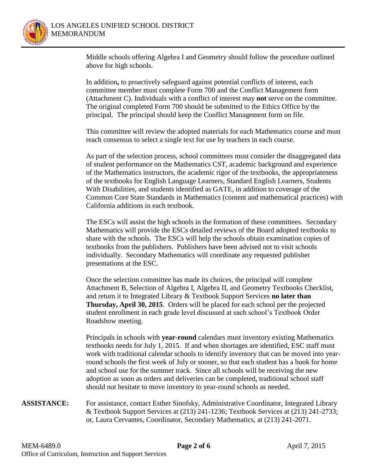

Middle schools offering Algebra I and Geometry should follow the procedure outlined above for high schools.

In addition**,** to proactively safeguard against potential conflicts of interest, each committee member must complete Form 700 and the Conflict Management form (Attachment C). Individuals with a conflict of interest may **not** serve on the committee. The original completed Form 700 should be submitted to the Ethics Office by the principal. The principal should keep the Conflict Management form on file.

This committee will review the adopted materials for each Mathematics course and must reach consensus to select a single text for use by teachers in each course.

As part of the selection process, school committees must consider the disaggregated data of student performance on the Mathematics CST, academic background and experience of the Mathematics instructors, the academic rigor of the textbooks, the appropriateness of the textbooks for English Language Learners, Standard English Learners, Students With Disabilities, and students identified as GATE, in addition to coverage of the Common Core State Standards in Mathematics (content and mathematical practices) with California additions in each textbook.

The ESCs will assist the high schools in the formation of these committees. Secondary Mathematics will provide the ESCs detailed reviews of the Board adopted textbooks to share with the schools. The ESCs will help the schools obtain examination copies of textbooks from the publishers. Publishers have been advised not to visit schools individually. Secondary Mathematics will coordinate any requested publisher presentations at the ESC.

Once the selection committee has made its choices, the principal will complete Attachment B, Selection of Algebra I, Algebra II, and Geometry Textbooks Checklist, and return it to Integrated Library & Textbook Support Services **no later than Thursday, April 30, 2015**. Orders will be placed for each school per the projected student enrollment in each grade level discussed at each school's Textbook Order Roadshow meeting.

Principals in schools with **year-round** calendars must inventory existing Mathematics textbooks needs for July 1, 2015. If and when shortages are identified, ESC staff must work with traditional calendar schools to identify inventory that can be moved into yearround schools the first week of July or sooner, so that each student has a book for home and school use for the summer track. Since all schools will be receiving the new adoption as soon as orders and deliveries can be completed, traditional school staff should not hesitate to move inventory to year-round schools as needed.

**ASSISTANCE:** For assistance, contact Esther Sinofsky, Administrative Coordinator, Integrated Library & Textbook Support Services at (213) 241-1236; Textbook Services at (213) 241-2733; or, Laura Cervantes, Coordinator, Secondary Mathematics, at (213) 241-2071.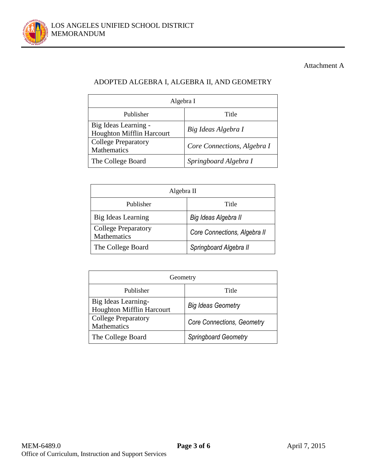

## Attachment A

# ADOPTED ALGEBRA I, ALGEBRA II, AND GEOMETRY

| Algebra I                                         |                             |  |  |
|---------------------------------------------------|-----------------------------|--|--|
| Publisher                                         | Title                       |  |  |
| Big Ideas Learning -<br>Houghton Mifflin Harcourt | Big Ideas Algebra I         |  |  |
| <b>College Preparatory</b><br>Mathematics         | Core Connections, Algebra I |  |  |
| The College Board                                 | Springboard Algebra I       |  |  |

| Algebra II                                |                              |  |  |  |
|-------------------------------------------|------------------------------|--|--|--|
| Publisher                                 | Title                        |  |  |  |
| Big Ideas Learning                        | Big Ideas Algebra II         |  |  |  |
| <b>College Preparatory</b><br>Mathematics | Core Connections, Algebra II |  |  |  |
| The College Board                         | Springboard Algebra II       |  |  |  |

| Geometry                                                |                            |  |  |
|---------------------------------------------------------|----------------------------|--|--|
| Publisher                                               | Title                      |  |  |
| Big Ideas Learning-<br><b>Houghton Mifflin Harcourt</b> | <b>Big Ideas Geometry</b>  |  |  |
| <b>College Preparatory</b><br>Mathematics               | Core Connections, Geometry |  |  |
| The College Board                                       | Springboard Geometry       |  |  |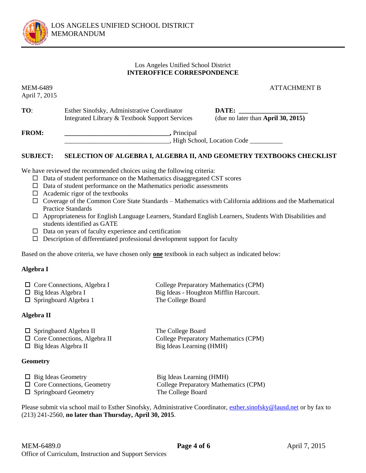

## Los Angeles Unified School District **INTEROFFICE CORRESPONDENCE**

April 7, 2015

MEM-6489 ATTACHMENT B

**TO:** Esther Sinofsky, Administrative Coordinator **DATE:** Integrated Library & Textbook Support Services (due no later than **April 30, 2015)**

**FROM: \_\_\_\_\_\_\_\_\_\_\_\_\_\_\_\_\_\_\_\_\_\_\_\_\_\_\_\_\_\_\_\_,** Principal \_\_\_\_\_\_\_\_\_\_\_\_\_\_\_\_\_\_\_\_\_\_\_\_\_\_\_\_\_\_\_\_, High School, Location Code \_\_\_\_\_\_\_\_\_\_

## **SUBJECT: SELECTION OF ALGEBRA I, ALGEBRA II, AND GEOMETRY TEXTBOOKS CHECKLIST**

We have reviewed the recommended choices using the following criteria:

- $\Box$  Data of student performance on the Mathematics disaggregated CST scores
- $\Box$  Data of student performance on the Mathematics periodic assessments
- $\Box$  Academic rigor of the textbooks
- $\Box$  Coverage of the Common Core State Standards Mathematics with California additions and the Mathematical Practice Standards
- Appropriateness for English Language Learners, Standard English Learners, Students With Disabilities and students identified as GATE
- $\Box$  Data on years of faculty experience and certification
- $\square$  Description of differentiated professional development support for faculty

Based on the above criteria, we have chosen only **one** textbook in each subject as indicated below:

## **Algebra I**

| $\Box$ Core Connections, Algebra I | College Preparatory Mathematics (CPM)  |
|------------------------------------|----------------------------------------|
| $\Box$ Big Ideas Algebra I         | Big Ideas - Houghton Mifflin Harcourt. |
| $\Box$ Springboard Algebra 1       | The College Board                      |

## **Algebra II**

| $\Box$ Springbaord Algebra II       | The College Board                     |
|-------------------------------------|---------------------------------------|
| $\Box$ Core Connections, Algebra II | College Preparatory Mathematics (CPM) |
| $\Box$ Big Ideas Algebra II         | Big Ideas Learning (HMH)              |

## **Geometry**

| $\Box$ Big Ideas Geometry         | Big Ideas Learning (HMH)              |
|-----------------------------------|---------------------------------------|
| $\Box$ Core Connections, Geometry | College Preparatory Mathematics (CPM) |
| $\Box$ Springboard Geometry       | The College Board                     |

Please submit via school mail to Esther Sinofsky, Administrative Coordinator[, esther.sinofsky@lausd.net](mailto:esther.sinofsky@lausd.net) or by fax to (213) 241-2560, **no later than Thursday, April 30, 2015**.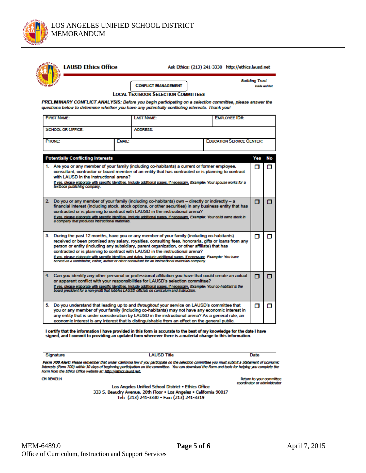

| PRELMINARY CONFLICT ANALYSIS: Before you begin participating on a selection committee, please answer the                                                                                                                                                                                                                                                                                                                                                                                                                                                                                                               |                   | <b>CONFLICT MANAGEMENT</b><br><b>LOCAL TEXTBOOK SELECTION COMMITTEES</b> |                                  | <b>Building Trust</b><br><b>Inside and Out</b> |    |
|------------------------------------------------------------------------------------------------------------------------------------------------------------------------------------------------------------------------------------------------------------------------------------------------------------------------------------------------------------------------------------------------------------------------------------------------------------------------------------------------------------------------------------------------------------------------------------------------------------------------|-------------------|--------------------------------------------------------------------------|----------------------------------|------------------------------------------------|----|
| questions below to determine whether you have any potentially conflicting interests. Thank you!<br><b>FIRST NAME:</b>                                                                                                                                                                                                                                                                                                                                                                                                                                                                                                  | <b>LAST NAME:</b> |                                                                          | <b>EMPLOYEE ID#:</b>             |                                                |    |
| <b>SCHOOL OR OFFICE:</b>                                                                                                                                                                                                                                                                                                                                                                                                                                                                                                                                                                                               | <b>ADDRESS:</b>   |                                                                          |                                  |                                                |    |
| PHONE:                                                                                                                                                                                                                                                                                                                                                                                                                                                                                                                                                                                                                 | EMAIL:            |                                                                          | <b>EDUCATION SERVICE CENTER:</b> |                                                |    |
| <b>Potentially Conflicting Interests</b>                                                                                                                                                                                                                                                                                                                                                                                                                                                                                                                                                                               |                   |                                                                          |                                  | Yes                                            | No |
| 1. Are you or any member of your family (including co-habitants) a current or former employee,<br>consultant, contractor or board member of an entity that has contracted or is planning to contract<br>with LAUSD in the instructional arena?<br>If yes, please elaborate with specific identities, include additional pages, if necessary, Example: Your spouse works for a<br>textbook publishing company.                                                                                                                                                                                                          |                   |                                                                          |                                  | п                                              | п  |
| 2. Do you or any member of your family (including co-habitants) own - directly or indirectly - a<br>financial interest (including stock, stock options, or other securities) in any business entity that has<br>contracted or is planning to contract with LAUSD in the instructional arena?<br>If yes, please elaborate with specific identities, include additional pages, if necessary, Example: Your child owns stock in<br>a company that produces instructional materials.                                                                                                                                       |                   |                                                                          |                                  | п                                              | п  |
| 3. During the past 12 months, have you or any member of your family (including co-habitants)<br>received or been promised any salary, royalties, consulting fees, honoraria, gifts or loans from any<br>person or entity (including any subsidiary, parent organization, or other affiliate) that has<br>contracted or is planning to contract with LAUSD in the instructional arena?<br>If yes, please elaborate with specific identities and dates, include additional pages, if necessary. Example: You have<br>served as a contributor, editor, author or other consultant for an instructional materials company. |                   |                                                                          |                                  | п                                              | п  |
| 4. Can you identify any other personal or professional affiliation you have that could create an actual<br>or apparent conflict with your responsibilities for LAUSD's selection committee?<br>If yes, please elaborate with specific identities, include additional pages, if necessary, Example: Your co-habitant is the<br>board president for a non-profit that lobbles LAUSD officials on curriculum and instruction.                                                                                                                                                                                             |                   |                                                                          |                                  | п                                              | п  |
| 5. Do you understand that leading up to and throughout your service on LAUSD's committee that<br>you or any member of your family (including co-habitants) may not have any economic interest in<br>any entity that is under consideration by LAUSD in the instructional arena? As a general rule, an                                                                                                                                                                                                                                                                                                                  |                   |                                                                          |                                  | п                                              | п  |

I certify that the information I have provided in this form is accurate to the best of my knowledge for the date I have signed, and I commit to providing an updated form whenever there is a material change to this information.

Signature

**LAUSD Title** 

Date

Form 700 Alert: Please remember that under California law if you participate on the selection committee you must submit a Statement of Economic<br>Interests (Form 700) within 30 days of beginning participation on the committe

**CM REV0314** 

Return to your committee coordinator or administrator

Los Angeles Unified School District . Ethics Office 333 S. Beaudry Avenue, 20th Floor . Los Angeles . California 90017 Tel: (213) 241-3330 · Fax: (213) 241-3319